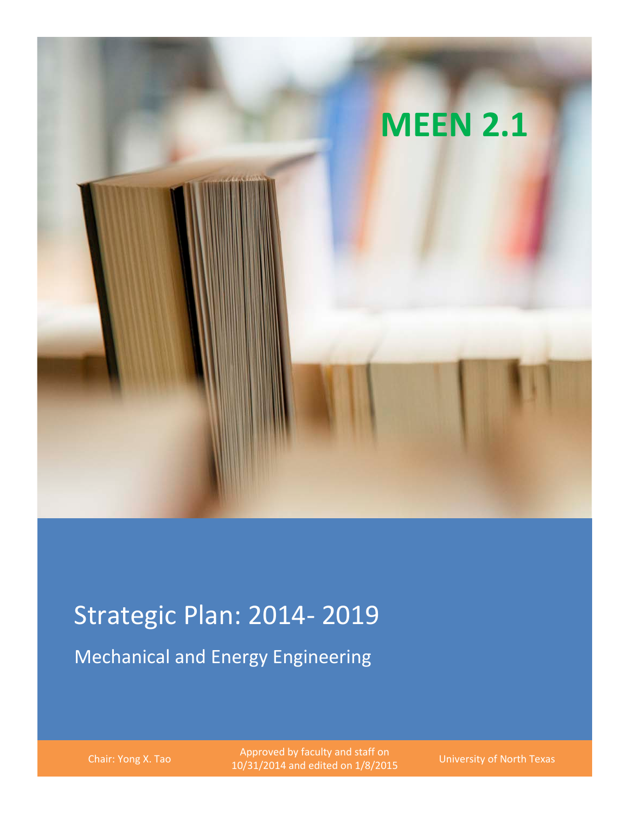

# Strategic Plan: 2014- 2019

Mechanical and Energy Engineering

Chair: Yong X. Tao Approved by faculty and staff on<br>2001 and stitute and stitute on 1/8/2011 10/31/2014 and edited on 1/8/2015 University of North Texas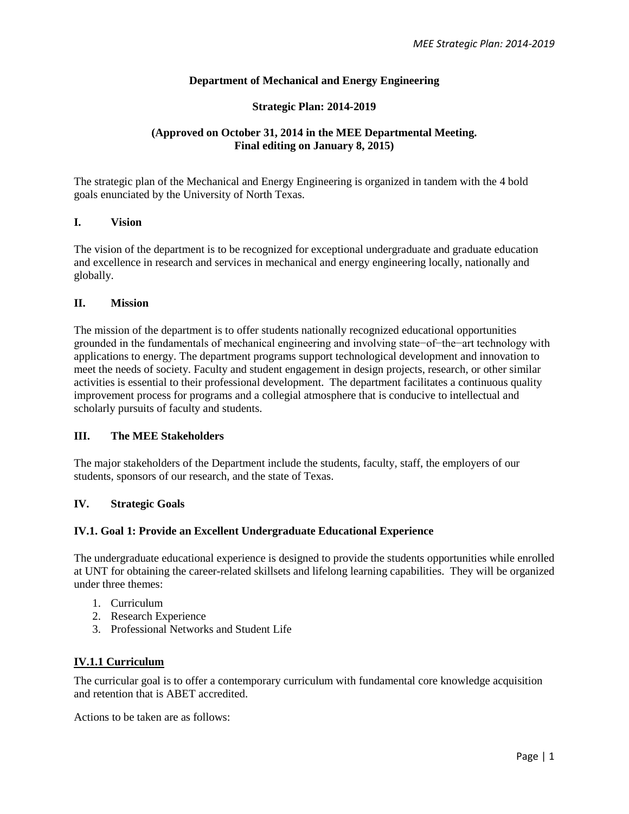## **Department of Mechanical and Energy Engineering**

#### **Strategic Plan: 2014-2019**

## **(Approved on October 31, 2014 in the MEE Departmental Meeting. Final editing on January 8, 2015)**

The strategic plan of the Mechanical and Energy Engineering is organized in tandem with the 4 bold goals enunciated by the University of North Texas.

#### **I. Vision**

The vision of the department is to be recognized for exceptional undergraduate and graduate education and excellence in research and services in mechanical and energy engineering locally, nationally and globally.

#### **II. Mission**

The mission of the department is to offer students nationally recognized educational opportunities grounded in the fundamentals of mechanical engineering and involving state−of−the−art technology with applications to energy. The department programs support technological development and innovation to meet the needs of society. Faculty and student engagement in design projects, research, or other similar activities is essential to their professional development. The department facilitates a continuous quality improvement process for programs and a collegial atmosphere that is conducive to intellectual and scholarly pursuits of faculty and students.

#### **III. The MEE Stakeholders**

The major stakeholders of the Department include the students, faculty, staff, the employers of our students, sponsors of our research, and the state of Texas.

#### **IV. Strategic Goals**

## **IV.1. Goal 1: Provide an Excellent Undergraduate Educational Experience**

The undergraduate educational experience is designed to provide the students opportunities while enrolled at UNT for obtaining the career-related skillsets and lifelong learning capabilities. They will be organized under three themes:

- 1. Curriculum
- 2. Research Experience
- 3. Professional Networks and Student Life

## **IV.1.1 Curriculum**

The curricular goal is to offer a contemporary curriculum with fundamental core knowledge acquisition and retention that is ABET accredited.

Actions to be taken are as follows: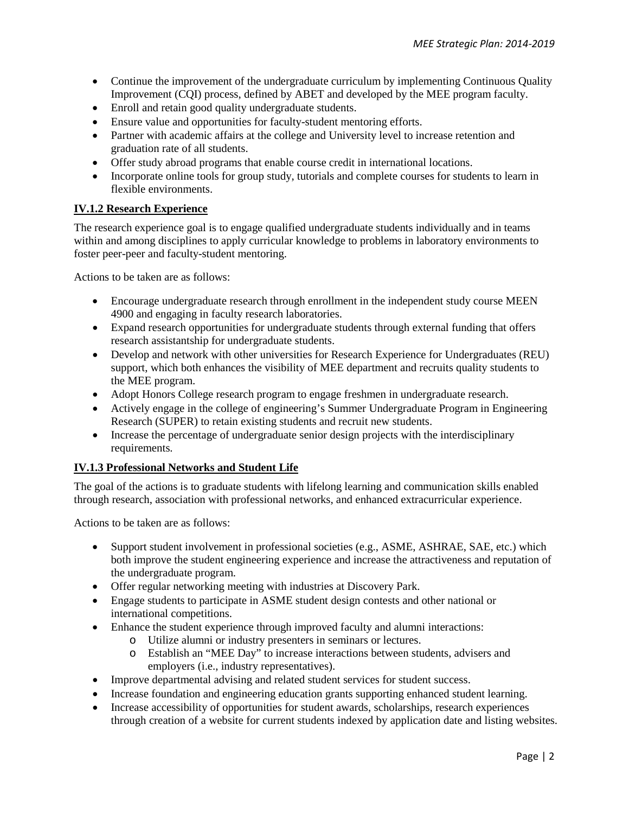- Continue the improvement of the undergraduate curriculum by implementing Continuous Quality Improvement (CQI) process, defined by ABET and developed by the MEE program faculty.
- Enroll and retain good quality undergraduate students.
- Ensure value and opportunities for faculty-student mentoring efforts.
- Partner with academic affairs at the college and University level to increase retention and graduation rate of all students.
- Offer study abroad programs that enable course credit in international locations.
- Incorporate online tools for group study, tutorials and complete courses for students to learn in flexible environments.

# **IV.1.2 Research Experience**

The research experience goal is to engage qualified undergraduate students individually and in teams within and among disciplines to apply curricular knowledge to problems in laboratory environments to foster peer-peer and faculty-student mentoring.

Actions to be taken are as follows:

- Encourage undergraduate research through enrollment in the independent study course MEEN 4900 and engaging in faculty research laboratories.
- Expand research opportunities for undergraduate students through external funding that offers research assistantship for undergraduate students.
- Develop and network with other universities for Research Experience for Undergraduates (REU) support, which both enhances the visibility of MEE department and recruits quality students to the MEE program.
- Adopt Honors College research program to engage freshmen in undergraduate research.
- Actively engage in the college of engineering's Summer Undergraduate Program in Engineering Research (SUPER) to retain existing students and recruit new students.
- Increase the percentage of undergraduate senior design projects with the interdisciplinary requirements.

# **IV.1.3 Professional Networks and Student Life**

The goal of the actions is to graduate students with lifelong learning and communication skills enabled through research, association with professional networks, and enhanced extracurricular experience.

Actions to be taken are as follows:

- Support student involvement in professional societies (e.g., ASME, ASHRAE, SAE, etc.) which both improve the student engineering experience and increase the attractiveness and reputation of the undergraduate program.
- Offer regular networking meeting with industries at Discovery Park.
- Engage students to participate in ASME student design contests and other national or international competitions.
- Enhance the student experience through improved faculty and alumni interactions:
	- o Utilize alumni or industry presenters in seminars or lectures.
	- o Establish an "MEE Day" to increase interactions between students, advisers and employers (i.e., industry representatives).
- Improve departmental advising and related student services for student success.
- Increase foundation and engineering education grants supporting enhanced student learning.
- Increase accessibility of opportunities for student awards, scholarships, research experiences through creation of a website for current students indexed by application date and listing websites.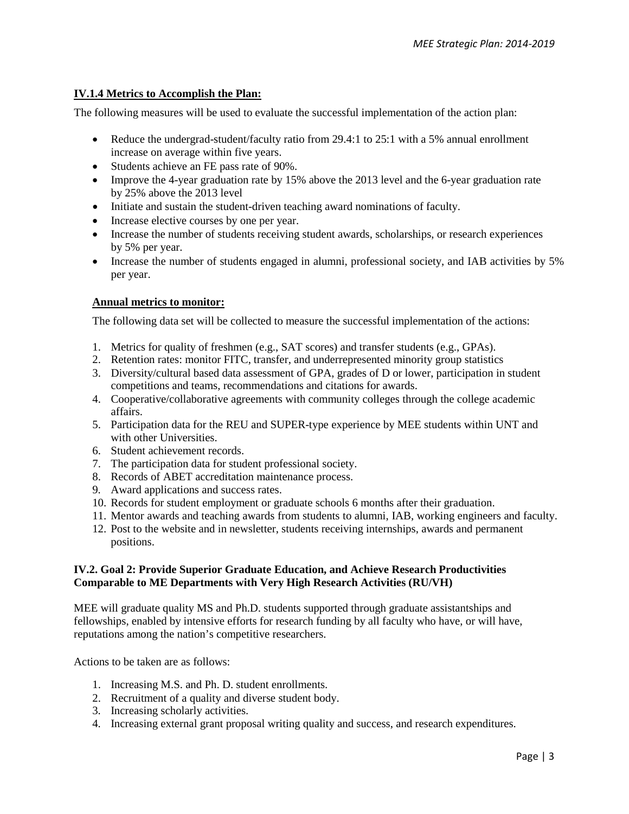## **IV.1.4 Metrics to Accomplish the Plan:**

The following measures will be used to evaluate the successful implementation of the action plan:

- Reduce the undergrad-student/faculty ratio from 29.4:1 to 25:1 with a 5% annual enrollment increase on average within five years.
- Students achieve an FE pass rate of 90%.
- Improve the 4-year graduation rate by 15% above the 2013 level and the 6-year graduation rate by 25% above the 2013 level
- Initiate and sustain the student-driven teaching award nominations of faculty.
- Increase elective courses by one per year.
- Increase the number of students receiving student awards, scholarships, or research experiences by 5% per year.
- Increase the number of students engaged in alumni, professional society, and IAB activities by 5% per year.

#### **Annual metrics to monitor:**

The following data set will be collected to measure the successful implementation of the actions:

- 1. Metrics for quality of freshmen (e.g., SAT scores) and transfer students (e.g., GPAs).
- 2. Retention rates: monitor FITC, transfer, and underrepresented minority group statistics
- 3. Diversity/cultural based data assessment of GPA, grades of D or lower, participation in student competitions and teams, recommendations and citations for awards.
- 4. Cooperative/collaborative agreements with community colleges through the college academic affairs.
- 5. Participation data for the REU and SUPER-type experience by MEE students within UNT and with other Universities.
- 6. Student achievement records.
- 7. The participation data for student professional society.
- 8. Records of ABET accreditation maintenance process.
- 9. Award applications and success rates.
- 10. Records for student employment or graduate schools 6 months after their graduation.
- 11. Mentor awards and teaching awards from students to alumni, IAB, working engineers and faculty.
- 12. Post to the website and in newsletter, students receiving internships, awards and permanent positions.

#### **IV.2. Goal 2: Provide Superior Graduate Education, and Achieve Research Productivities Comparable to ME Departments with Very High Research Activities (RU/VH)**

MEE will graduate quality MS and Ph.D. students supported through graduate assistantships and fellowships, enabled by intensive efforts for research funding by all faculty who have, or will have, reputations among the nation's competitive researchers.

Actions to be taken are as follows:

- 1. Increasing M.S. and Ph. D. student enrollments.
- 2. Recruitment of a quality and diverse student body.
- 3. Increasing scholarly activities.
- 4. Increasing external grant proposal writing quality and success, and research expenditures.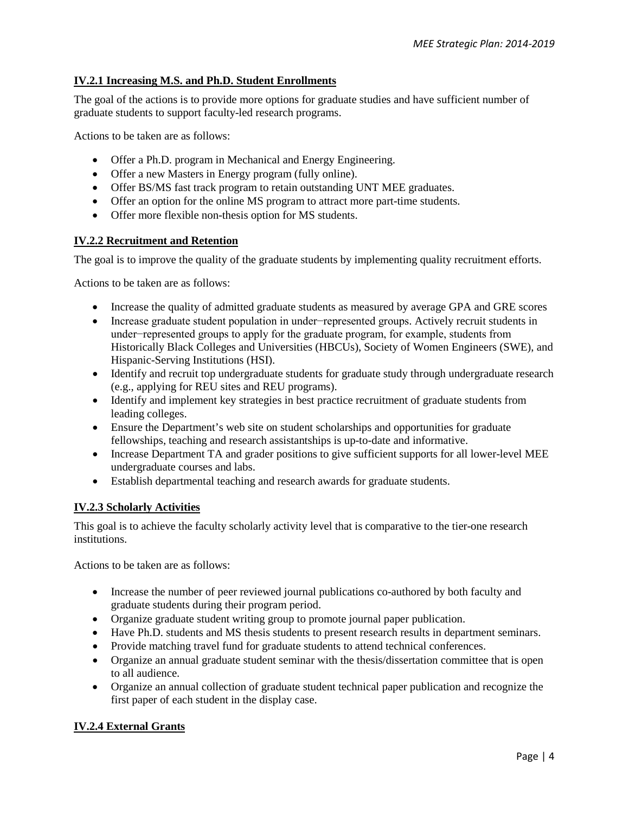# **IV.2.1 Increasing M.S. and Ph.D. Student Enrollments**

The goal of the actions is to provide more options for graduate studies and have sufficient number of graduate students to support faculty-led research programs.

Actions to be taken are as follows:

- Offer a Ph.D. program in Mechanical and Energy Engineering.
- Offer a new Masters in Energy program (fully online).
- Offer BS/MS fast track program to retain outstanding UNT MEE graduates.
- Offer an option for the online MS program to attract more part-time students.
- Offer more flexible non-thesis option for MS students.

## **IV.2.2 Recruitment and Retention**

The goal is to improve the quality of the graduate students by implementing quality recruitment efforts.

Actions to be taken are as follows:

- Increase the quality of admitted graduate students as measured by average GPA and GRE scores
- Increase graduate student population in under−represented groups. Actively recruit students in under−represented groups to apply for the graduate program, for example, students from Historically Black Colleges and Universities (HBCUs), Society of Women Engineers (SWE), and Hispanic-Serving Institutions (HSI).
- Identify and recruit top undergraduate students for graduate study through undergraduate research (e.g., applying for REU sites and REU programs).
- Identify and implement key strategies in best practice recruitment of graduate students from leading colleges.
- Ensure the Department's web site on student scholarships and opportunities for graduate fellowships, teaching and research assistantships is up-to-date and informative.
- Increase Department TA and grader positions to give sufficient supports for all lower-level MEE undergraduate courses and labs.
- Establish departmental teaching and research awards for graduate students.

## **IV.2.3 Scholarly Activities**

This goal is to achieve the faculty scholarly activity level that is comparative to the tier-one research institutions.

Actions to be taken are as follows:

- Increase the number of peer reviewed journal publications co-authored by both faculty and graduate students during their program period.
- Organize graduate student writing group to promote journal paper publication.
- Have Ph.D. students and MS thesis students to present research results in department seminars.
- Provide matching travel fund for graduate students to attend technical conferences.
- Organize an annual graduate student seminar with the thesis/dissertation committee that is open to all audience.
- Organize an annual collection of graduate student technical paper publication and recognize the first paper of each student in the display case.

## **IV.2.4 External Grants**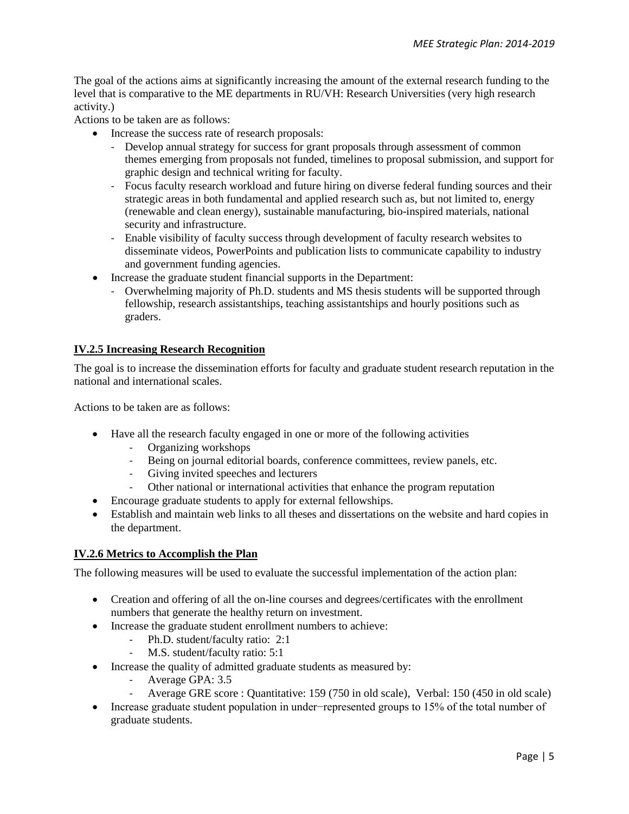The goal of the actions aims at significantly increasing the amount of the external research funding to the level that is comparative to the ME departments in RU/VH: Research Universities (very high research activity.)

Actions to be taken are as follows:

- Increase the success rate of research proposals:
	- Develop annual strategy for success for grant proposals through assessment of common themes emerging from proposals not funded, timelines to proposal submission, and support for graphic design and technical writing for faculty.
	- Focus faculty research workload and future hiring on diverse federal funding sources and their strategic areas in both fundamental and applied research such as, but not limited to, energy (renewable and clean energy), sustainable manufacturing, bio-inspired materials, national security and infrastructure.
	- Enable visibility of faculty success through development of faculty research websites to disseminate videos, PowerPoints and publication lists to communicate capability to industry and government funding agencies.
- Increase the graduate student financial supports in the Department:
	- Overwhelming majority of Ph.D. students and MS thesis students will be supported through fellowship, research assistantships, teaching assistantships and hourly positions such as graders.

# **IV.2.5 Increasing Research Recognition**

The goal is to increase the dissemination efforts for faculty and graduate student research reputation in the national and international scales.

Actions to be taken are as follows:

- Have all the research faculty engaged in one or more of the following activities
	- Organizing workshops
	- Being on journal editorial boards, conference committees, review panels, etc.
	- Giving invited speeches and lecturers
	- Other national or international activities that enhance the program reputation
- Encourage graduate students to apply for external fellowships.
- Establish and maintain web links to all theses and dissertations on the website and hard copies in the department.

## **IV.2.6 Metrics to Accomplish the Plan**

The following measures will be used to evaluate the successful implementation of the action plan:

- Creation and offering of all the on-line courses and degrees/certificates with the enrollment numbers that generate the healthy return on investment.
- Increase the graduate student enrollment numbers to achieve:
	- Ph.D. student/faculty ratio: 2:1
	- M.S. student/faculty ratio: 5:1
- Increase the quality of admitted graduate students as measured by:
	- Average GPA: 3.5
	- Average GRE score : Quantitative: 159 (750 in old scale), Verbal: 150 (450 in old scale)
- Increase graduate student population in under−represented groups to 15% of the total number of graduate students.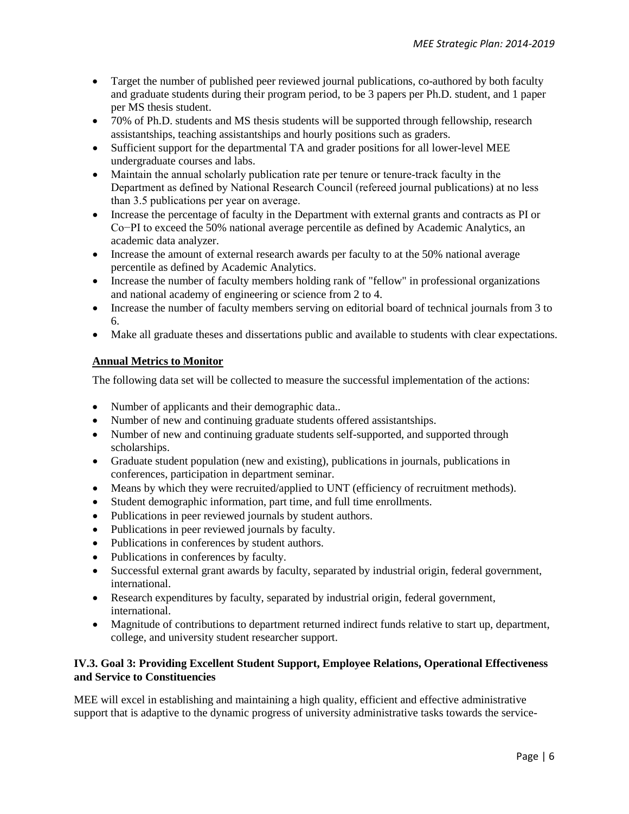- Target the number of published peer reviewed journal publications, co-authored by both faculty and graduate students during their program period, to be 3 papers per Ph.D. student, and 1 paper per MS thesis student.
- 70% of Ph.D. students and MS thesis students will be supported through fellowship, research assistantships, teaching assistantships and hourly positions such as graders.
- Sufficient support for the departmental TA and grader positions for all lower-level MEE undergraduate courses and labs.
- Maintain the annual scholarly publication rate per tenure or tenure-track faculty in the Department as defined by National Research Council (refereed journal publications) at no less than 3.5 publications per year on average.
- Increase the percentage of faculty in the Department with external grants and contracts as PI or Co−PI to exceed the 50% national average percentile as defined by Academic Analytics, an academic data analyzer.
- Increase the amount of external research awards per faculty to at the 50% national average percentile as defined by Academic Analytics.
- Increase the number of faculty members holding rank of "fellow" in professional organizations and national academy of engineering or science from 2 to 4.
- Increase the number of faculty members serving on editorial board of technical journals from 3 to 6.
- Make all graduate theses and dissertations public and available to students with clear expectations.

# **Annual Metrics to Monitor**

The following data set will be collected to measure the successful implementation of the actions:

- Number of applicants and their demographic data..
- Number of new and continuing graduate students offered assistantships.
- Number of new and continuing graduate students self-supported, and supported through scholarships.
- Graduate student population (new and existing), publications in journals, publications in conferences, participation in department seminar.
- Means by which they were recruited/applied to UNT (efficiency of recruitment methods).
- Student demographic information, part time, and full time enrollments.
- Publications in peer reviewed journals by student authors.
- Publications in peer reviewed journals by faculty.
- Publications in conferences by student authors.
- Publications in conferences by faculty.
- Successful external grant awards by faculty, separated by industrial origin, federal government, international.
- Research expenditures by faculty, separated by industrial origin, federal government, international.
- Magnitude of contributions to department returned indirect funds relative to start up, department, college, and university student researcher support.

# **IV.3. Goal 3: Providing Excellent Student Support, Employee Relations, Operational Effectiveness and Service to Constituencies**

MEE will excel in establishing and maintaining a high quality, efficient and effective administrative support that is adaptive to the dynamic progress of university administrative tasks towards the service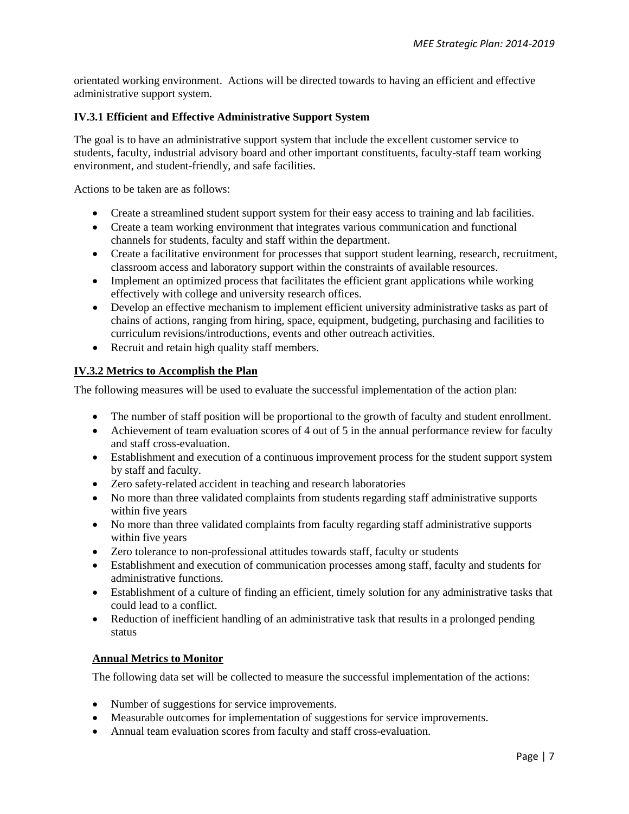orientated working environment. Actions will be directed towards to having an efficient and effective administrative support system.

# **IV.3.1 Efficient and Effective Administrative Support System**

The goal is to have an administrative support system that include the excellent customer service to students, faculty, industrial advisory board and other important constituents, faculty-staff team working environment, and student-friendly, and safe facilities.

Actions to be taken are as follows:

- Create a streamlined student support system for their easy access to training and lab facilities.
- Create a team working environment that integrates various communication and functional channels for students, faculty and staff within the department.
- Create a facilitative environment for processes that support student learning, research, recruitment, classroom access and laboratory support within the constraints of available resources.
- Implement an optimized process that facilitates the efficient grant applications while working effectively with college and university research offices.
- Develop an effective mechanism to implement efficient university administrative tasks as part of chains of actions, ranging from hiring, space, equipment, budgeting, purchasing and facilities to curriculum revisions/introductions, events and other outreach activities.
- Recruit and retain high quality staff members.

# **IV.3.2 Metrics to Accomplish the Plan**

The following measures will be used to evaluate the successful implementation of the action plan:

- The number of staff position will be proportional to the growth of faculty and student enrollment.
- Achievement of team evaluation scores of 4 out of 5 in the annual performance review for faculty and staff cross-evaluation.
- Establishment and execution of a continuous improvement process for the student support system by staff and faculty.
- Zero safety-related accident in teaching and research laboratories
- No more than three validated complaints from students regarding staff administrative supports within five years
- No more than three validated complaints from faculty regarding staff administrative supports within five years
- Zero tolerance to non-professional attitudes towards staff, faculty or students
- Establishment and execution of communication processes among staff, faculty and students for administrative functions.
- Establishment of a culture of finding an efficient, timely solution for any administrative tasks that could lead to a conflict.
- Reduction of inefficient handling of an administrative task that results in a prolonged pending status

# **Annual Metrics to Monitor**

The following data set will be collected to measure the successful implementation of the actions:

- Number of suggestions for service improvements.
- Measurable outcomes for implementation of suggestions for service improvements.
- Annual team evaluation scores from faculty and staff cross-evaluation.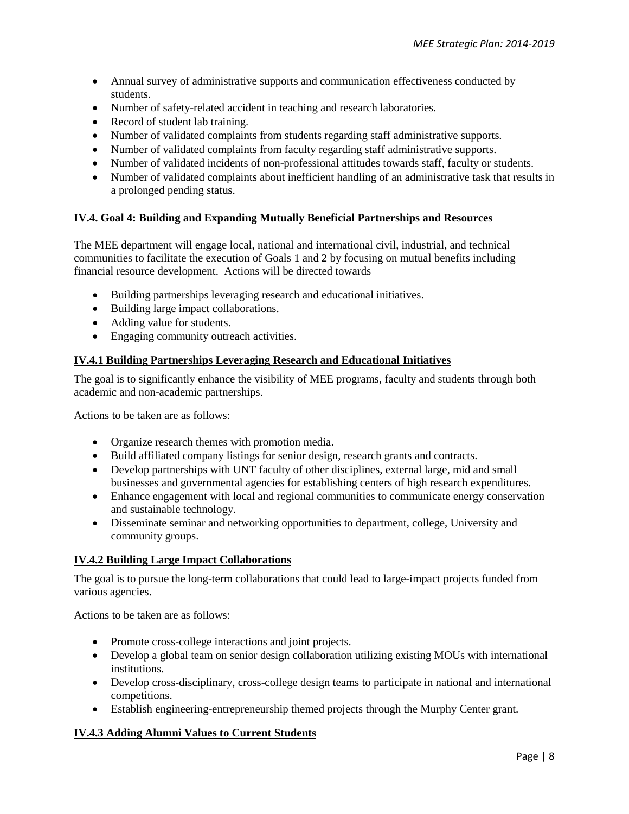- Annual survey of administrative supports and communication effectiveness conducted by students.
- Number of safety-related accident in teaching and research laboratories.
- Record of student lab training.
- Number of validated complaints from students regarding staff administrative supports.
- Number of validated complaints from faculty regarding staff administrative supports.
- Number of validated incidents of non-professional attitudes towards staff, faculty or students.
- Number of validated complaints about inefficient handling of an administrative task that results in a prolonged pending status.

# **IV.4. Goal 4: Building and Expanding Mutually Beneficial Partnerships and Resources**

The MEE department will engage local, national and international civil, industrial, and technical communities to facilitate the execution of Goals 1 and 2 by focusing on mutual benefits including financial resource development. Actions will be directed towards

- Building partnerships leveraging research and educational initiatives.
- Building large impact collaborations.
- Adding value for students.
- Engaging community outreach activities.

## **IV.4.1 Building Partnerships Leveraging Research and Educational Initiatives**

The goal is to significantly enhance the visibility of MEE programs, faculty and students through both academic and non-academic partnerships.

Actions to be taken are as follows:

- Organize research themes with promotion media.
- Build affiliated company listings for senior design, research grants and contracts.
- Develop partnerships with UNT faculty of other disciplines, external large, mid and small businesses and governmental agencies for establishing centers of high research expenditures.
- Enhance engagement with local and regional communities to communicate energy conservation and sustainable technology.
- Disseminate seminar and networking opportunities to department, college, University and community groups.

## **IV.4.2 Building Large Impact Collaborations**

The goal is to pursue the long-term collaborations that could lead to large-impact projects funded from various agencies.

Actions to be taken are as follows:

- Promote cross-college interactions and joint projects.
- Develop a global team on senior design collaboration utilizing existing MOUs with international institutions.
- Develop cross-disciplinary, cross-college design teams to participate in national and international competitions.
- Establish engineering-entrepreneurship themed projects through the Murphy Center grant.

## **IV.4.3 Adding Alumni Values to Current Students**